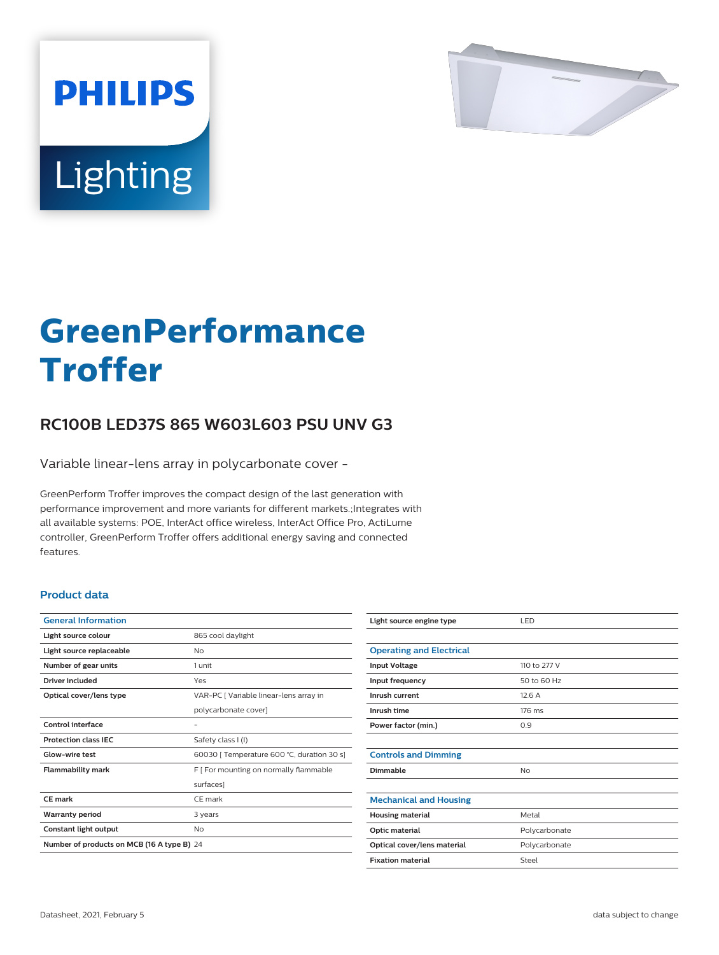

# Lighting

**PHILIPS** 

# **GreenPerformance Troffer**

## **RC100B LED37S 865 W603L603 PSU UNV G3**

Variable linear-lens array in polycarbonate cover -

GreenPerform Troffer improves the compact design of the last generation with performance improvement and more variants for different markets.;Integrates with all available systems: POE, InterAct office wireless, InterAct Office Pro, ActiLume controller, GreenPerform Troffer offers additional energy saving and connected features.

#### **Product data**

| <b>General Information</b>                 |                                            |  |
|--------------------------------------------|--------------------------------------------|--|
| Light source colour                        | 865 cool daylight                          |  |
| Light source replaceable                   | No                                         |  |
| Number of gear units                       | 1 unit                                     |  |
| Driver included                            | Yes                                        |  |
| Optical cover/lens type                    | VAR-PC [ Variable linear-lens array in     |  |
|                                            | polycarbonate cover]                       |  |
| Control interface                          |                                            |  |
| <b>Protection class IEC</b>                | Safety class I (I)                         |  |
| Glow-wire test                             | 60030   Temperature 600 °C, duration 30 s] |  |
| <b>Flammability mark</b>                   | F   For mounting on normally flammable     |  |
|                                            | surfaces]                                  |  |
| CE mark                                    | CE mark                                    |  |
| <b>Warranty period</b>                     | 3 years                                    |  |
| Constant light output                      | No                                         |  |
| Number of products on MCB (16 A type B) 24 |                                            |  |

| Light source engine type        | LED           |
|---------------------------------|---------------|
|                                 |               |
| <b>Operating and Electrical</b> |               |
| <b>Input Voltage</b>            | 110 to 277 V  |
| Input frequency                 | 50 to 60 Hz   |
| Inrush current                  | 12.6A         |
| Inrush time                     | 176 ms        |
| Power factor (min.)             | 0.9           |
|                                 |               |
| <b>Controls and Dimming</b>     |               |
| Dimmable                        | No            |
|                                 |               |
| <b>Mechanical and Housing</b>   |               |
| <b>Housing material</b>         | Metal         |
| Optic material                  | Polycarbonate |
| Optical cover/lens material     | Polycarbonate |
| <b>Fixation material</b>        | Steel         |
|                                 |               |